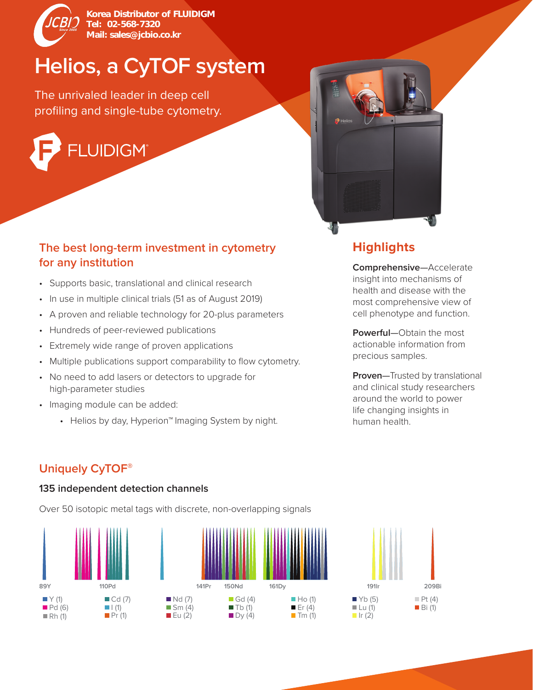

Korea Distributor of FLUIDIGM Tel: 02-568-7320 Mail: sales@jcbio.co.kr

# **Helios, a CyTOF system**

The unrivaled leader in deep cell profiling and single-tube cytometry.



#### **The best long-term investment in cytometry for any institution**

- Supports basic, translational and clinical research
- In use in multiple clinical trials (51 as of August 2019)
- A proven and reliable technology for 20-plus parameters
- Hundreds of peer-reviewed publications
- Extremely wide range of proven applications
- Multiple publications support comparability to flow cytometry.
- No need to add lasers or detectors to upgrade for high-parameter studies
- Imaging module can be added:
	- Helios by day, Hyperion™ Imaging System by night.



# **Highlights**

**Comprehensive**—Accelerate insight into mechanisms of health and disease with the most comprehensive view of cell phenotype and function.

**Powerful**—Obtain the most actionable information from precious samples.

**Proven**—Trusted by translational and clinical study researchers around the world to power life changing insights in human health.

## **Uniquely CyTOF®**

#### **135 independent detection channels**

Over 50 isotopic metal tags with discrete, non-overlapping signals

 $E$ u (2)





 $\blacksquare$  Dy (4)



 $\blacksquare$  Tm (1)

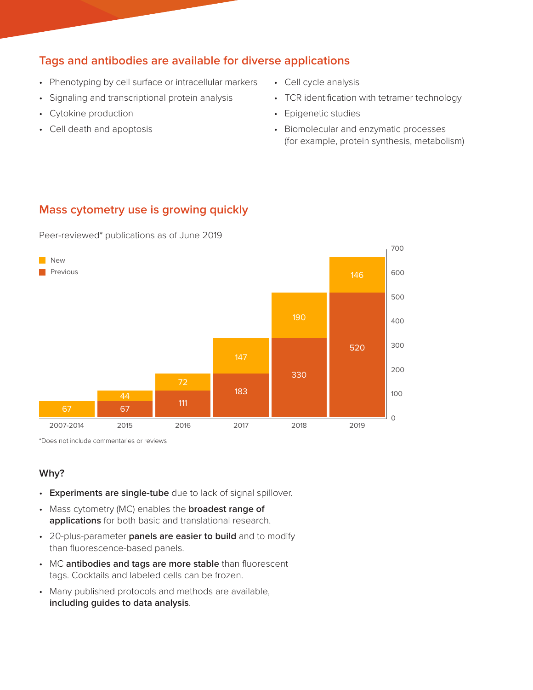#### **Tags and antibodies are available for diverse applications**

- Phenotyping by cell surface or intracellular markers
- Signaling and transcriptional protein analysis
- Cytokine production
- Cell death and apoptosis
- Cell cycle analysis
- TCR identification with tetramer technology
- Epigenetic studies
- Biomolecular and enzymatic processes (for example, protein synthesis, metabolism)

#### **Mass cytometry use is growing quickly**

Peer-reviewed\* publications as of June 2019



\*Does not include commentaries or reviews

#### **Why?**

- **Experiments are single-tube** due to lack of signal spillover.
- Mass cytometry (MC) enables the **broadest range of applications** for both basic and translational research.
- 20-plus-parameter **panels are easier to build** and to modify than fluorescence-based panels.
- MC **antibodies and tags are more stable** than fluorescent tags. Cocktails and labeled cells can be frozen.
- Many published protocols and methods are available, **including guides to data analysis**.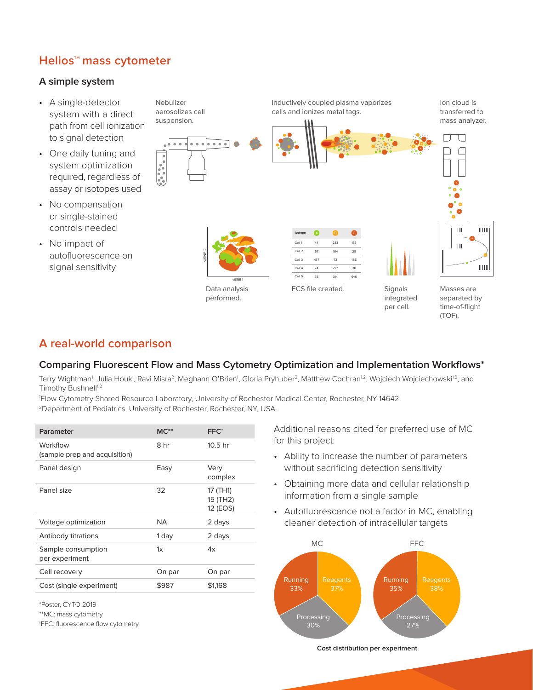#### **Helios™ mass cytometer**

#### **A simple system**

- A single-detector system with a direct path from cell ionization to signal detection
- One daily tuning and system optimization required, regardless of assay or isotopes used
- No compensation or single-stained controls needed
- No impact of autofluorescence on signal sensitivity

Nebulizer aerosolizes cell suspension.



Inductively coupled plasma vaporizes cells and ionizes metal tags.

Ion cloud is transferred to mass analyzer.





| Isotope | A   | B   | Ċ          |
|---------|-----|-----|------------|
| Cell 1  | 44  | 233 | 153        |
| Cell 2  | 67  | 164 | 25         |
| Cell 3  | 437 | 73  | 186        |
| Cell 4  | 74  | 277 | 38         |
| Cell 5  | 55  | 314 | <b>9v6</b> |



FCS file created. Signals integrated per cell.

Masses are separated by time-of-flight (TOF).

 $\mathbf{III}$ 

 $\| \|$ 

 $[|||]$ 

 $IIIII$ 

### **A real-world comparison**

#### **Comparing Fluorescent Flow and Mass Cytometry Optimization and Implementation Workflows\***

Terry Wightman<sup>1</sup>, Julia Houk<sup>1</sup>, Ravi Misra<sup>2</sup>, Meghann O'Brien<sup>1</sup>, Gloria Pryhuber<sup>2</sup>, Matthew Cochran<sup>1.2</sup>, Wojciech Wojciechowski<sup>1.2</sup>, and Timothy Bushnell<sup>1,2</sup>

1 Flow Cytometry Shared Resource Laboratory, University of Rochester Medical Center, Rochester, NY 14642 2Department of Pediatrics, University of Rochester, Rochester, NY, USA.

| Parameter                                 | $MC**$    | FFC <sup>+</sup>                 |
|-------------------------------------------|-----------|----------------------------------|
| Workflow<br>(sample prep and acquisition) | 8 hr      | 10.5 <sub>hr</sub>               |
| Panel design                              | Easy      | Very<br>complex                  |
| Panel size                                | 32        | 17 (TH1)<br>15 (TH2)<br>12 (EOS) |
| Voltage optimization                      | <b>ΝΑ</b> | 2 days                           |
| Antibody titrations                       | 1 day     | 2 days                           |
| Sample consumption<br>per experiment      | 1x        | 4x                               |
| Cell recovery                             | On par    | On par                           |
| Cost (single experiment)                  | \$987     | \$1,168                          |

\*Poster, CYTO 2019

\*\*MC: mass cytometry

†FFC: fluorescence flow cytometry

Additional reasons cited for preferred use of MC for this project:

- Ability to increase the number of parameters without sacrificing detection sensitivity
- Obtaining more data and cellular relationship information from a single sample
- Autofluorescence not a factor in MC, enabling cleaner detection of intracellular targets



**Cost distribution per experiment**